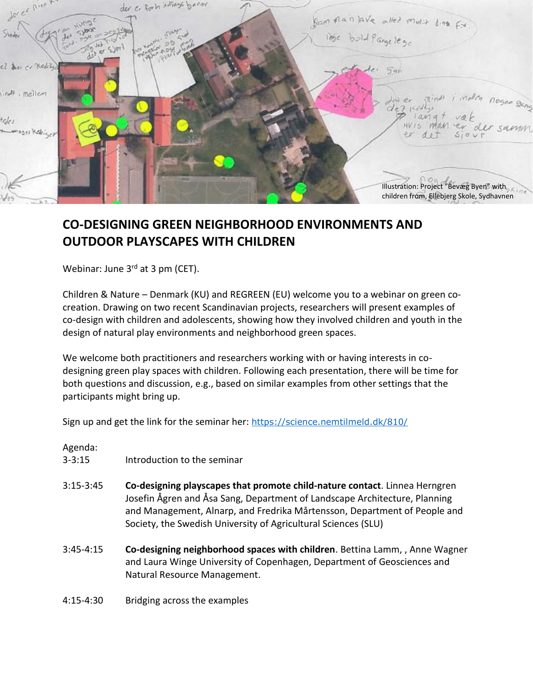

## **CO-DESIGNING GREEN NEIGHBORHOOD ENVIRONMENTS AND OUTDOOR PLAYSCAPES WITH CHILDREN**

Webinar: June 3<sup>rd</sup> at 3 pm (CET).

Children & Nature – Denmark (KU) and REGREEN (EU) welcome you to a webinar on green cocreation. Drawing on two recent Scandinavian projects, researchers will present examples of co-design with children and adolescents, showing how they involved children and youth in the design of natural play environments and neighborhood green spaces.

We welcome both practitioners and researchers working with or having interests in codesigning green play spaces with children. Following each presentation, there will be time for both questions and discussion, e.g., based on similar examples from other settings that the participants might bring up.

Sign up and get the link for the seminar her: <https://science.nemtilmeld.dk/810/>

## Agenda:

- 3-3:15 Introduction to the seminar
- 3:15-3:45 **Co-designing playscapes that promote child-nature contact**. Linnea Herngren Josefin Ågren and Åsa Sang, Department of Landscape Architecture, Planning and Management, Alnarp, and Fredrika Mårtensson, Department of People and Society, the Swedish University of Agricultural Sciences (SLU)
- 3:45-4:15 **Co-designing neighborhood spaces with children**. Bettina Lamm, , Anne Wagner and Laura Winge University of Copenhagen, Department of Geosciences and Natural Resource Management.
- 4:15-4:30 Bridging across the examples